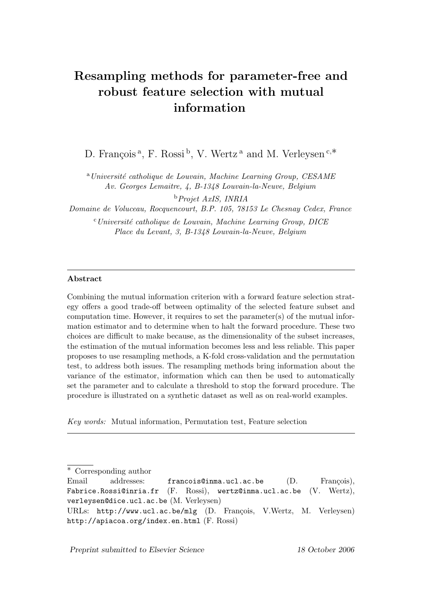# Resampling methods for parameter-free and robust feature selection with mutual information

D. François<sup>a</sup>, F. Rossi<sup>b</sup>, V. Wertz<sup>a</sup> and M. Verleysen<sup>c,\*</sup>

 $a^a$ Université catholique de Louvain, Machine Learning Group, CESAME Av. Georges Lemaitre, 4, B-1348 Louvain-la-Neuve, Belgium <sup>b</sup>Projet AxIS, INRIA

Domaine de Voluceau, Rocquencourt, B.P. 105, 78153 Le Chesnay Cedex, France

 $c$ Université catholique de Louvain, Machine Learning Group, DICE Place du Levant, 3, B-1348 Louvain-la-Neuve, Belgium

#### Abstract

Combining the mutual information criterion with a forward feature selection strategy offers a good trade-off between optimality of the selected feature subset and computation time. However, it requires to set the parameter(s) of the mutual information estimator and to determine when to halt the forward procedure. These two choices are difficult to make because, as the dimensionality of the subset increases, the estimation of the mutual information becomes less and less reliable. This paper proposes to use resampling methods, a K-fold cross-validation and the permutation test, to address both issues. The resampling methods bring information about the variance of the estimator, information which can then be used to automatically set the parameter and to calculate a threshold to stop the forward procedure. The procedure is illustrated on a synthetic dataset as well as on real-world examples.

Key words: Mutual information, Permutation test, Feature selection

Corresponding author

Email addresses: françois@inma.ucl.ac.be (D. François), Fabrice.Rossi@inria.fr (F. Rossi), wertz@inma.ucl.ac.be (V. Wertz), verleysen@dice.ucl.ac.be (M. Verleysen)

URLs: http://www.ucl.ac.be/mlg (D. François, V.Wertz, M. Verleysen) http://apiacoa.org/index.en.html (F. Rossi)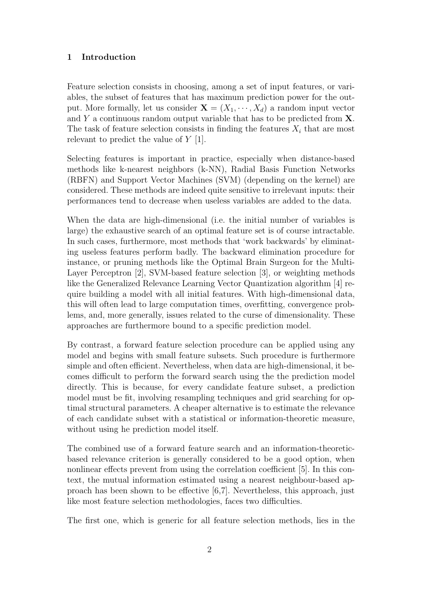## 1 Introduction

Feature selection consists in choosing, among a set of input features, or variables, the subset of features that has maximum prediction power for the output. More formally, let us consider  $\mathbf{X} = (X_1, \dots, X_d)$  a random input vector and Y a continuous random output variable that has to be predicted from  $X$ . The task of feature selection consists in finding the features  $X_i$  that are most relevant to predict the value of  $Y$  [1].

Selecting features is important in practice, especially when distance-based methods like k-nearest neighbors (k-NN), Radial Basis Function Networks (RBFN) and Support Vector Machines (SVM) (depending on the kernel) are considered. These methods are indeed quite sensitive to irrelevant inputs: their performances tend to decrease when useless variables are added to the data.

When the data are high-dimensional (i.e. the initial number of variables is large) the exhaustive search of an optimal feature set is of course intractable. In such cases, furthermore, most methods that 'work backwards' by eliminating useless features perform badly. The backward elimination procedure for instance, or pruning methods like the Optimal Brain Surgeon for the Multi-Layer Perceptron [2], SVM-based feature selection [3], or weighting methods like the Generalized Relevance Learning Vector Quantization algorithm [4] require building a model with all initial features. With high-dimensional data, this will often lead to large computation times, overfitting, convergence problems, and, more generally, issues related to the curse of dimensionality. These approaches are furthermore bound to a specific prediction model.

By contrast, a forward feature selection procedure can be applied using any model and begins with small feature subsets. Such procedure is furthermore simple and often efficient. Nevertheless, when data are high-dimensional, it becomes difficult to perform the forward search using the the prediction model directly. This is because, for every candidate feature subset, a prediction model must be fit, involving resampling techniques and grid searching for optimal structural parameters. A cheaper alternative is to estimate the relevance of each candidate subset with a statistical or information-theoretic measure, without using he prediction model itself.

The combined use of a forward feature search and an information-theoreticbased relevance criterion is generally considered to be a good option, when nonlinear effects prevent from using the correlation coefficient [5]. In this context, the mutual information estimated using a nearest neighbour-based approach has been shown to be effective [6,7]. Nevertheless, this approach, just like most feature selection methodologies, faces two difficulties.

The first one, which is generic for all feature selection methods, lies in the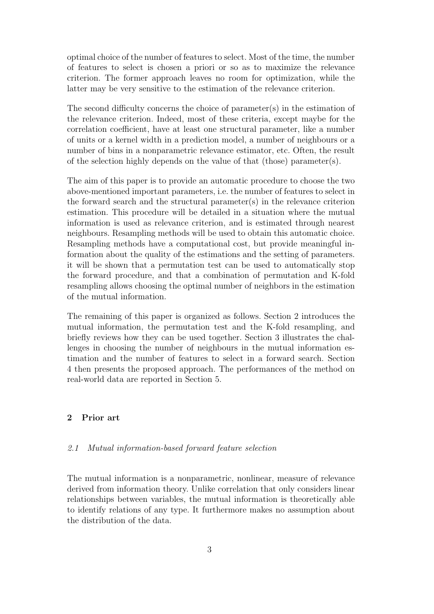optimal choice of the number of features to select. Most of the time, the number of features to select is chosen a priori or so as to maximize the relevance criterion. The former approach leaves no room for optimization, while the latter may be very sensitive to the estimation of the relevance criterion.

The second difficulty concerns the choice of parameter(s) in the estimation of the relevance criterion. Indeed, most of these criteria, except maybe for the correlation coefficient, have at least one structural parameter, like a number of units or a kernel width in a prediction model, a number of neighbours or a number of bins in a nonparametric relevance estimator, etc. Often, the result of the selection highly depends on the value of that (those) parameter(s).

The aim of this paper is to provide an automatic procedure to choose the two above-mentioned important parameters, i.e. the number of features to select in the forward search and the structural parameter(s) in the relevance criterion estimation. This procedure will be detailed in a situation where the mutual information is used as relevance criterion, and is estimated through nearest neighbours. Resampling methods will be used to obtain this automatic choice. Resampling methods have a computational cost, but provide meaningful information about the quality of the estimations and the setting of parameters. it will be shown that a permutation test can be used to automatically stop the forward procedure, and that a combination of permutation and K-fold resampling allows choosing the optimal number of neighbors in the estimation of the mutual information.

The remaining of this paper is organized as follows. Section 2 introduces the mutual information, the permutation test and the K-fold resampling, and briefly reviews how they can be used together. Section 3 illustrates the challenges in choosing the number of neighbours in the mutual information estimation and the number of features to select in a forward search. Section 4 then presents the proposed approach. The performances of the method on real-world data are reported in Section 5.

## 2 Prior art

#### 2.1 Mutual information-based forward feature selection

The mutual information is a nonparametric, nonlinear, measure of relevance derived from information theory. Unlike correlation that only considers linear relationships between variables, the mutual information is theoretically able to identify relations of any type. It furthermore makes no assumption about the distribution of the data.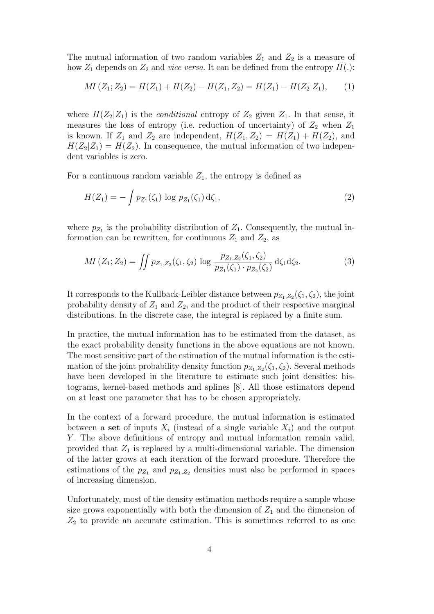The mutual information of two random variables  $Z_1$  and  $Z_2$  is a measure of how  $Z_1$  depends on  $Z_2$  and *vice versa*. It can be defined from the entropy  $H(.)$ :

$$
MI(Z_1; Z_2) = H(Z_1) + H(Z_2) - H(Z_1, Z_2) = H(Z_1) - H(Z_2|Z_1), \tag{1}
$$

where  $H(Z_2|Z_1)$  is the *conditional* entropy of  $Z_2$  given  $Z_1$ . In that sense, it measures the loss of entropy (i.e. reduction of uncertainty) of  $Z_2$  when  $Z_1$ is known. If  $Z_1$  and  $Z_2$  are independent,  $H(Z_1, Z_2) = H(Z_1) + H(Z_2)$ , and  $H(Z_2|Z_1) = H(Z_2)$ . In consequence, the mutual information of two independent variables is zero.

For a continuous random variable  $Z_1$ , the entropy is defined as

$$
H(Z_1) = -\int p_{Z_1}(\zeta_1) \log p_{Z_1}(\zeta_1) d\zeta_1, \tag{2}
$$

where  $p_{Z_1}$  is the probability distribution of  $Z_1$ . Consequently, the mutual information can be rewritten, for continuous  $Z_1$  and  $Z_2$ , as

$$
MI\left(Z_1; Z_2\right) = \iint p_{Z_1, Z_2}(\zeta_1, \zeta_2) \log \frac{p_{Z_1, Z_2}(\zeta_1, \zeta_2)}{p_{Z_1}(\zeta_1) \cdot p_{Z_2}(\zeta_2)} d\zeta_1 d\zeta_2.
$$
 (3)

It corresponds to the Kullback-Leibler distance between  $p_{Z_1,Z_2}(\zeta_1,\zeta_2)$ , the joint probability density of  $Z_1$  and  $Z_2$ , and the product of their respective marginal distributions. In the discrete case, the integral is replaced by a finite sum.

In practice, the mutual information has to be estimated from the dataset, as the exact probability density functions in the above equations are not known. The most sensitive part of the estimation of the mutual information is the estimation of the joint probability density function  $p_{Z_1,Z_2}(\zeta_1,\zeta_2)$ . Several methods have been developed in the literature to estimate such joint densities: histograms, kernel-based methods and splines [8]. All those estimators depend on at least one parameter that has to be chosen appropriately.

In the context of a forward procedure, the mutual information is estimated between a set of inputs  $X_i$  (instead of a single variable  $X_i$ ) and the output Y. The above definitions of entropy and mutual information remain valid, provided that  $Z_1$  is replaced by a multi-dimensional variable. The dimension of the latter grows at each iteration of the forward procedure. Therefore the estimations of the  $p_{Z_1}$  and  $p_{Z_1,Z_2}$  densities must also be performed in spaces of increasing dimension.

Unfortunately, most of the density estimation methods require a sample whose size grows exponentially with both the dimension of  $Z_1$  and the dimension of  $Z_2$  to provide an accurate estimation. This is sometimes referred to as one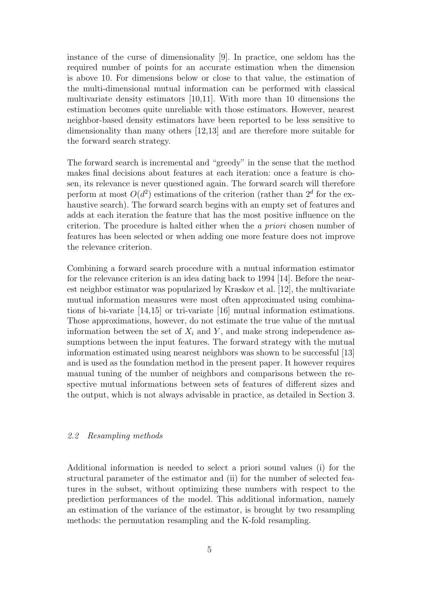instance of the curse of dimensionality [9]. In practice, one seldom has the required number of points for an accurate estimation when the dimension is above 10. For dimensions below or close to that value, the estimation of the multi-dimensional mutual information can be performed with classical multivariate density estimators [10,11]. With more than 10 dimensions the estimation becomes quite unreliable with those estimators. However, nearest neighbor-based density estimators have been reported to be less sensitive to dimensionality than many others [12,13] and are therefore more suitable for the forward search strategy.

The forward search is incremental and "greedy" in the sense that the method makes final decisions about features at each iteration: once a feature is chosen, its relevance is never questioned again. The forward search will therefore perform at most  $O(d^2)$  estimations of the criterion (rather than  $2^d$  for the exhaustive search). The forward search begins with an empty set of features and adds at each iteration the feature that has the most positive influence on the criterion. The procedure is halted either when the a priori chosen number of features has been selected or when adding one more feature does not improve the relevance criterion.

Combining a forward search procedure with a mutual information estimator for the relevance criterion is an idea dating back to 1994 [14]. Before the nearest neighbor estimator was popularized by Kraskov et al. [12], the multivariate mutual information measures were most often approximated using combinations of bi-variate [14,15] or tri-variate [16] mutual information estimations. Those approximations, however, do not estimate the true value of the mutual information between the set of  $X_i$  and Y, and make strong independence assumptions between the input features. The forward strategy with the mutual information estimated using nearest neighbors was shown to be successful [13] and is used as the foundation method in the present paper. It however requires manual tuning of the number of neighbors and comparisons between the respective mutual informations between sets of features of different sizes and the output, which is not always advisable in practice, as detailed in Section 3.

## 2.2 Resampling methods

Additional information is needed to select a priori sound values (i) for the structural parameter of the estimator and (ii) for the number of selected features in the subset, without optimizing these numbers with respect to the prediction performances of the model. This additional information, namely an estimation of the variance of the estimator, is brought by two resampling methods: the permutation resampling and the K-fold resampling.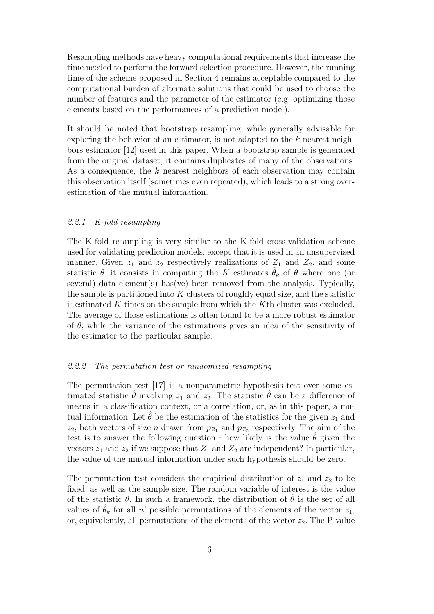Resampling methods have heavy computational requirements that increase the time needed to perform the forward selection procedure. However, the running time of the scheme proposed in Section 4 remains acceptable compared to the computational burden of alternate solutions that could be used to choose the number of features and the parameter of the estimator (e.g. optimizing those elements based on the performances of a prediction model).

It should be noted that bootstrap resampling, while generally advisable for exploring the behavior of an estimator, is not adapted to the  $k$  nearest neighbors estimator [12] used in this paper. When a bootstrap sample is generated from the original dataset, it contains duplicates of many of the observations. As a consequence, the  $k$  nearest neighbors of each observation may contain this observation itself (sometimes even repeated), which leads to a strong overestimation of the mutual information.

### 2.2.1 K-fold resampling

The K-fold resampling is very similar to the K-fold cross-validation scheme used for validating prediction models, except that it is used in an unsupervised manner. Given  $z_1$  and  $z_2$  respectively realizations of  $Z_1$  and  $Z_2$ , and some statistic  $\theta$ , it consists in computing the K estimates  $\theta_k$  of  $\theta$  where one (or several) data element(s) has (ve) been removed from the analysis. Typically, the sample is partitioned into  $K$  clusters of roughly equal size, and the statistic is estimated  $K$  times on the sample from which the  $K$ th cluster was excluded. The average of those estimations is often found to be a more robust estimator of  $\theta$ , while the variance of the estimations gives an idea of the sensitivity of the estimator to the particular sample.

#### 2.2.2 The permutation test or randomized resampling

The permutation test [17] is a nonparametric hypothesis test over some estimated statistic  $\hat{\theta}$  involving  $z_1$  and  $z_2$ . The statistic  $\hat{\theta}$  can be a difference of means in a classification context, or a correlation, or, as in this paper, a mutual information. Let  $\hat{\theta}$  be the estimation of the statistics for the given  $z_1$  and  $z_2$ , both vectors of size *n* drawn from  $p_{Z_1}$  and  $p_{Z_2}$  respectively. The aim of the test is to answer the following question : how likely is the value  $\hat{\theta}$  given the vectors  $z_1$  and  $z_2$  if we suppose that  $Z_1$  and  $Z_2$  are independent? In particular, the value of the mutual information under such hypothesis should be zero.

The permutation test considers the empirical distribution of  $z_1$  and  $z_2$  to be fixed, as well as the sample size. The random variable of interest is the value of the statistic  $\theta$ . In such a framework, the distribution of  $\hat{\theta}$  is the set of all values of  $\hat{\theta}_k$  for all n! possible permutations of the elements of the vector  $z_1$ , or, equivalently, all permutations of the elements of the vector  $z_2$ . The P-value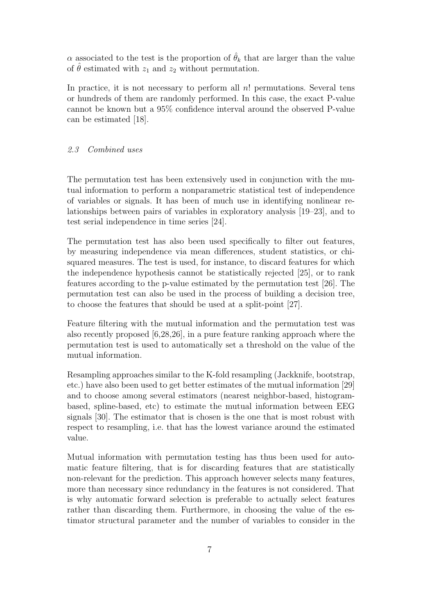$\alpha$  associated to the test is the proportion of  $\hat{\theta}_k$  that are larger than the value of  $\hat{\theta}$  estimated with  $z_1$  and  $z_2$  without permutation.

In practice, it is not necessary to perform all  $n!$  permutations. Several tens or hundreds of them are randomly performed. In this case, the exact P-value cannot be known but a 95% confidence interval around the observed P-value can be estimated [18].

2.3 Combined uses

The permutation test has been extensively used in conjunction with the mutual information to perform a nonparametric statistical test of independence of variables or signals. It has been of much use in identifying nonlinear relationships between pairs of variables in exploratory analysis [19–23], and to test serial independence in time series [24].

The permutation test has also been used specifically to filter out features, by measuring independence via mean differences, student statistics, or chisquared measures. The test is used, for instance, to discard features for which the independence hypothesis cannot be statistically rejected [25], or to rank features according to the p-value estimated by the permutation test [26]. The permutation test can also be used in the process of building a decision tree, to choose the features that should be used at a split-point [27].

Feature filtering with the mutual information and the permutation test was also recently proposed [6,28,26], in a pure feature ranking approach where the permutation test is used to automatically set a threshold on the value of the mutual information.

Resampling approaches similar to the K-fold resampling (Jackknife, bootstrap, etc.) have also been used to get better estimates of the mutual information [29] and to choose among several estimators (nearest neighbor-based, histogrambased, spline-based, etc) to estimate the mutual information between EEG signals [30]. The estimator that is chosen is the one that is most robust with respect to resampling, i.e. that has the lowest variance around the estimated value.

Mutual information with permutation testing has thus been used for automatic feature filtering, that is for discarding features that are statistically non-relevant for the prediction. This approach however selects many features, more than necessary since redundancy in the features is not considered. That is why automatic forward selection is preferable to actually select features rather than discarding them. Furthermore, in choosing the value of the estimator structural parameter and the number of variables to consider in the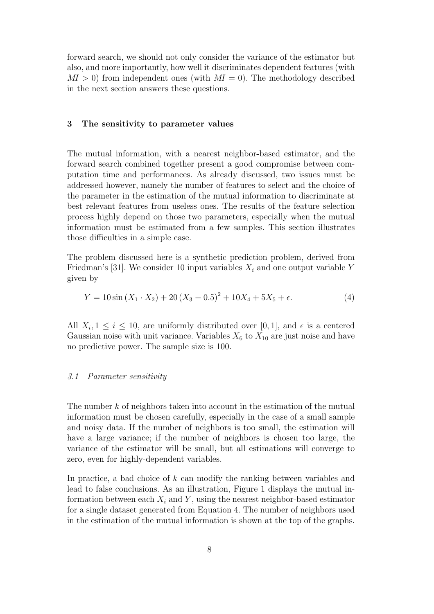forward search, we should not only consider the variance of the estimator but also, and more importantly, how well it discriminates dependent features (with  $MI > 0$ ) from independent ones (with  $MI = 0$ ). The methodology described in the next section answers these questions.

### 3 The sensitivity to parameter values

The mutual information, with a nearest neighbor-based estimator, and the forward search combined together present a good compromise between computation time and performances. As already discussed, two issues must be addressed however, namely the number of features to select and the choice of the parameter in the estimation of the mutual information to discriminate at best relevant features from useless ones. The results of the feature selection process highly depend on those two parameters, especially when the mutual information must be estimated from a few samples. This section illustrates those difficulties in a simple case.

The problem discussed here is a synthetic prediction problem, derived from Friedman's [31]. We consider 10 input variables  $X_i$  and one output variable Y given by

$$
Y = 10\sin\left(X_1 \cdot X_2\right) + 20\left(X_3 - 0.5\right)^2 + 10X_4 + 5X_5 + \epsilon.
$$
 (4)

All  $X_i, 1 \leq i \leq 10$ , are uniformly distributed over [0, 1], and  $\epsilon$  is a centered Gaussian noise with unit variance. Variables  $X_6$  to  $X_{10}$  are just noise and have no predictive power. The sample size is 100.

#### 3.1 Parameter sensitivity

The number k of neighbors taken into account in the estimation of the mutual information must be chosen carefully, especially in the case of a small sample and noisy data. If the number of neighbors is too small, the estimation will have a large variance; if the number of neighbors is chosen too large, the variance of the estimator will be small, but all estimations will converge to zero, even for highly-dependent variables.

In practice, a bad choice of  $k$  can modify the ranking between variables and lead to false conclusions. As an illustration, Figure 1 displays the mutual information between each  $X_i$  and Y, using the nearest neighbor-based estimator for a single dataset generated from Equation 4. The number of neighbors used in the estimation of the mutual information is shown at the top of the graphs.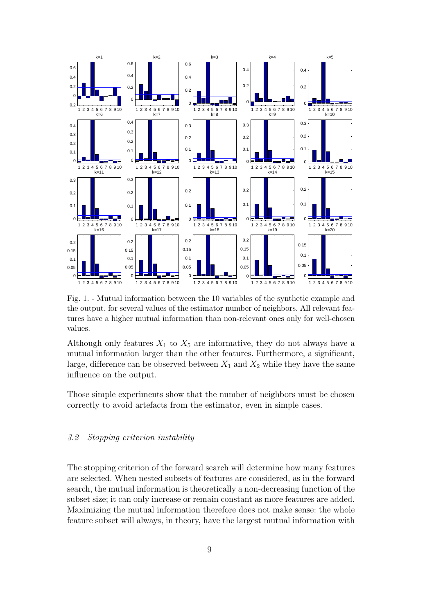

Fig. 1. - Mutual information between the 10 variables of the synthetic example and the output, for several values of the estimator number of neighbors. All relevant features have a higher mutual information than non-relevant ones only for well-chosen values.

Although only features  $X_1$  to  $X_5$  are informative, they do not always have a mutual information larger than the other features. Furthermore, a significant, large, difference can be observed between  $X_1$  and  $X_2$  while they have the same influence on the output.

Those simple experiments show that the number of neighbors must be chosen correctly to avoid artefacts from the estimator, even in simple cases.

# 3.2 Stopping criterion instability

The stopping criterion of the forward search will determine how many features are selected. When nested subsets of features are considered, as in the forward search, the mutual information is theoretically a non-decreasing function of the subset size; it can only increase or remain constant as more features are added. Maximizing the mutual information therefore does not make sense: the whole feature subset will always, in theory, have the largest mutual information with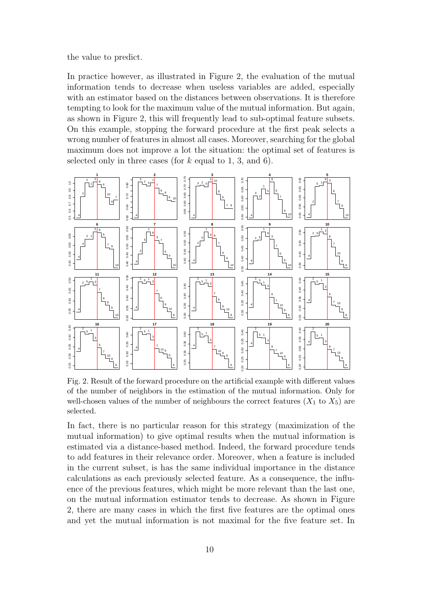the value to predict.

In practice however, as illustrated in Figure 2, the evaluation of the mutual information tends to decrease when useless variables are added, especially with an estimator based on the distances between observations. It is therefore tempting to look for the maximum value of the mutual information. But again, as shown in Figure 2, this will frequently lead to sub-optimal feature subsets. On this example, stopping the forward procedure at the first peak selects a wrong number of features in almost all cases. Moreover, searching for the global maximum does not improve a lot the situation: the optimal set of features is selected only in three cases (for  $k$  equal to 1, 3, and 6).



Fig. 2. Result of the forward procedure on the artificial example with different values of the number of neighbors in the estimation of the mutual information. Only for well-chosen values of the number of neighbours the correct features  $(X_1$  to  $X_5)$  are selected.

In fact, there is no particular reason for this strategy (maximization of the mutual information) to give optimal results when the mutual information is estimated via a distance-based method. Indeed, the forward procedure tends to add features in their relevance order. Moreover, when a feature is included in the current subset, is has the same individual importance in the distance calculations as each previously selected feature. As a consequence, the influence of the previous features, which might be more relevant than the last one, on the mutual information estimator tends to decrease. As shown in Figure 2, there are many cases in which the first five features are the optimal ones and yet the mutual information is not maximal for the five feature set. In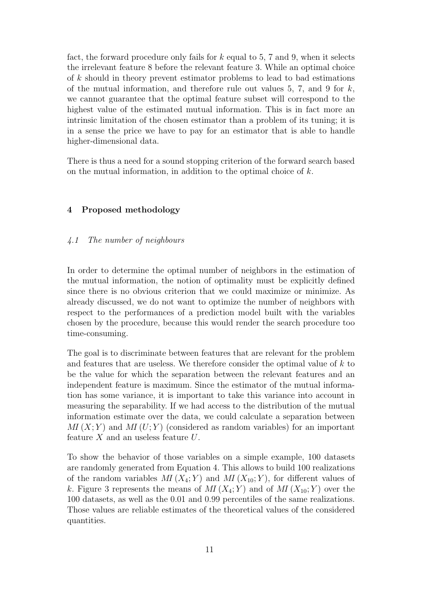fact, the forward procedure only fails for  $k$  equal to 5, 7 and 9, when it selects the irrelevant feature 8 before the relevant feature 3. While an optimal choice of k should in theory prevent estimator problems to lead to bad estimations of the mutual information, and therefore rule out values 5, 7, and 9 for  $k$ , we cannot guarantee that the optimal feature subset will correspond to the highest value of the estimated mutual information. This is in fact more an intrinsic limitation of the chosen estimator than a problem of its tuning; it is in a sense the price we have to pay for an estimator that is able to handle higher-dimensional data.

There is thus a need for a sound stopping criterion of the forward search based on the mutual information, in addition to the optimal choice of k.

## 4 Proposed methodology

## 4.1 The number of neighbours

In order to determine the optimal number of neighbors in the estimation of the mutual information, the notion of optimality must be explicitly defined since there is no obvious criterion that we could maximize or minimize. As already discussed, we do not want to optimize the number of neighbors with respect to the performances of a prediction model built with the variables chosen by the procedure, because this would render the search procedure too time-consuming.

The goal is to discriminate between features that are relevant for the problem and features that are useless. We therefore consider the optimal value of k to be the value for which the separation between the relevant features and an independent feature is maximum. Since the estimator of the mutual information has some variance, it is important to take this variance into account in measuring the separability. If we had access to the distribution of the mutual information estimate over the data, we could calculate a separation between  $MI(X;Y)$  and  $MI(U;Y)$  (considered as random variables) for an important feature  $X$  and an useless feature  $U$ .

To show the behavior of those variables on a simple example, 100 datasets are randomly generated from Equation 4. This allows to build 100 realizations of the random variables  $MI(X_4; Y)$  and  $MI(X_{10}; Y)$ , for different values of k. Figure 3 represents the means of  $MI(X_4;Y)$  and of  $MI(X_{10};Y)$  over the 100 datasets, as well as the 0.01 and 0.99 percentiles of the same realizations. Those values are reliable estimates of the theoretical values of the considered quantities.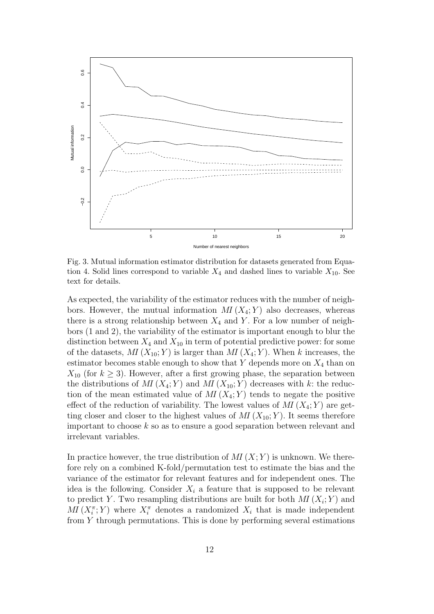

Fig. 3. Mutual information estimator distribution for datasets generated from Equation 4. Solid lines correspond to variable  $X_4$  and dashed lines to variable  $X_{10}$ . See text for details.

As expected, the variability of the estimator reduces with the number of neighbors. However, the mutual information  $MI(X_4;Y)$  also decreases, whereas there is a strong relationship between  $X_4$  and Y. For a low number of neighbors (1 and 2), the variability of the estimator is important enough to blur the distinction between  $X_4$  and  $X_{10}$  in term of potential predictive power: for some of the datasets,  $MI(X_{10}; Y)$  is larger than  $MI(X_4; Y)$ . When k increases, the estimator becomes stable enough to show that Y depends more on  $X_4$  than on  $X_{10}$  (for  $k \geq 3$ ). However, after a first growing phase, the separation between the distributions of  $MI(X_4;Y)$  and  $MI(X_{10};Y)$  decreases with k: the reduction of the mean estimated value of  $MI(X_4; Y)$  tends to negate the positive effect of the reduction of variability. The lowest values of  $MI(X_4; Y)$  are getting closer and closer to the highest values of  $MI(X_{10}; Y)$ . It seems therefore important to choose  $k$  so as to ensure a good separation between relevant and irrelevant variables.

In practice however, the true distribution of  $MI(X;Y)$  is unknown. We therefore rely on a combined K-fold/permutation test to estimate the bias and the variance of the estimator for relevant features and for independent ones. The idea is the following. Consider  $X_i$  a feature that is supposed to be relevant to predict Y. Two resampling distributions are built for both  $MI(X_i; Y)$  and  $MI(X_i^{\pi}; Y)$  where  $X_i^{\pi}$  denotes a randomized  $X_i$  that is made independent from Y through permutations. This is done by performing several estimations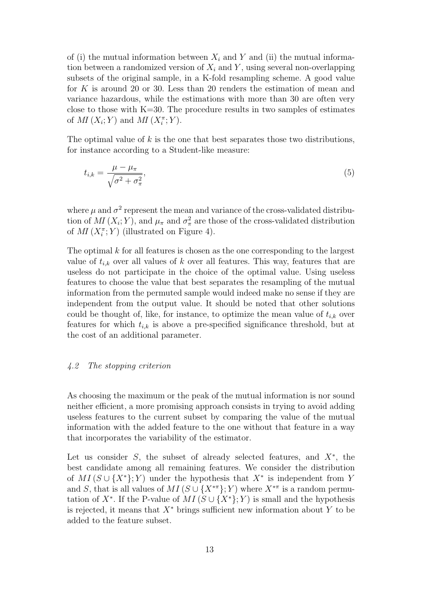of (i) the mutual information between  $X_i$  and Y and (ii) the mutual information between a randomized version of  $X_i$  and Y, using several non-overlapping subsets of the original sample, in a K-fold resampling scheme. A good value for K is around 20 or 30. Less than 20 renders the estimation of mean and variance hazardous, while the estimations with more than 30 are often very close to those with  $K=30$ . The procedure results in two samples of estimates of  $MI(X_i;Y)$  and  $MI(X_i^{\pi};Y)$ .

The optimal value of  $k$  is the one that best separates those two distributions, for instance according to a Student-like measure:

$$
t_{i,k} = \frac{\mu - \mu_{\pi}}{\sqrt{\sigma^2 + \sigma_{\pi}^2}},\tag{5}
$$

where  $\mu$  and  $\sigma^2$  represent the mean and variance of the cross-validated distribution of  $MI(X_i;Y)$ , and  $\mu_{\pi}$  and  $\sigma_{\pi}^2$  $\frac{2}{\pi}$  are those of the cross-validated distribution of  $MI(X_i^{\pi}; Y)$  (illustrated on Figure 4).

The optimal  $k$  for all features is chosen as the one corresponding to the largest value of  $t_{i,k}$  over all values of k over all features. This way, features that are useless do not participate in the choice of the optimal value. Using useless features to choose the value that best separates the resampling of the mutual information from the permuted sample would indeed make no sense if they are independent from the output value. It should be noted that other solutions could be thought of, like, for instance, to optimize the mean value of  $t_{i,k}$  over features for which  $t_{i,k}$  is above a pre-specified significance threshold, but at the cost of an additional parameter.

# 4.2 The stopping criterion

As choosing the maximum or the peak of the mutual information is nor sound neither efficient, a more promising approach consists in trying to avoid adding useless features to the current subset by comparing the value of the mutual information with the added feature to the one without that feature in a way that incorporates the variability of the estimator.

Let us consider  $S$ , the subset of already selected features, and  $X^*$ , the best candidate among all remaining features. We consider the distribution of  $MI(S \cup \{X^*\}; Y)$  under the hypothesis that  $X^*$  is independent from Y and S, that is all values of  $MI(S \cup \{X^{*\pi}\}; Y)$  where  $X^{*\pi}$  is a random permutation of X<sup>\*</sup>. If the P-value of  $MI(S \cup \{X^*\}; Y)$  is small and the hypothesis is rejected, it means that  $X^*$  brings sufficient new information about Y to be added to the feature subset.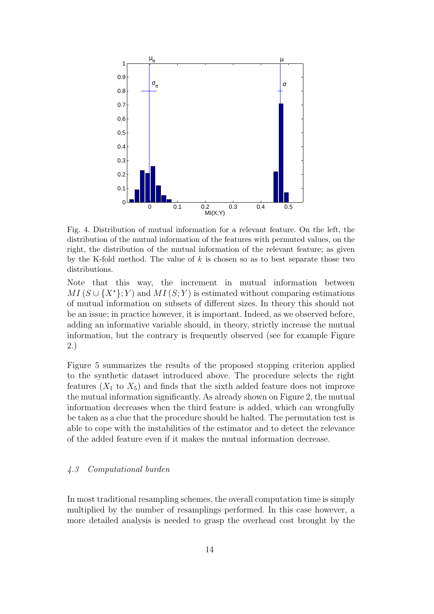

Fig. 4. Distribution of mutual information for a relevant feature. On the left, the distribution of the mutual information of the features with permuted values, on the right, the distribution of the mutual information of the relevant feature; as given by the K-fold method. The value of  $k$  is chosen so as to best separate those two distributions.

Note that this way, the increment in mutual information between  $MI(S \cup \{X^*\}; Y)$  and  $MI(S; Y)$  is estimated without comparing estimations of mutual information on subsets of different sizes. In theory this should not be an issue; in practice however, it is important. Indeed, as we observed before, adding an informative variable should, in theory, strictly increase the mutual information, but the contrary is frequently observed (see for example Figure 2.)

Figure 5 summarizes the results of the proposed stopping criterion applied to the synthetic dataset introduced above. The procedure selects the right features  $(X_1$  to  $X_5$ ) and finds that the sixth added feature does not improve the mutual information significantly. As already shown on Figure 2, the mutual information decreases when the third feature is added, which can wrongfully be taken as a clue that the procedure should be halted. The permutation test is able to cope with the instabilities of the estimator and to detect the relevance of the added feature even if it makes the mutual information decrease.

## 4.3 Computational burden

In most traditional resampling schemes, the overall computation time is simply multiplied by the number of resamplings performed. In this case however, a more detailed analysis is needed to grasp the overhead cost brought by the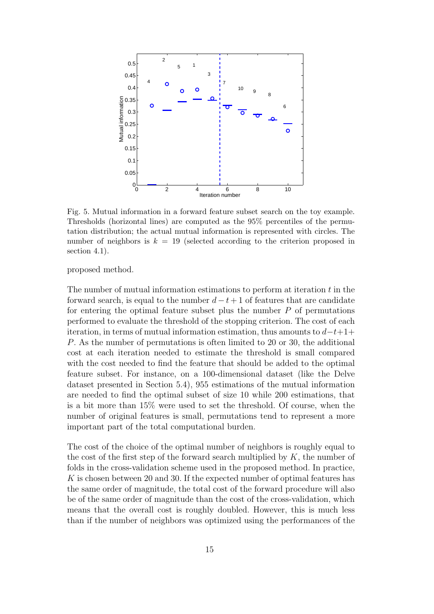

Fig. 5. Mutual information in a forward feature subset search on the toy example. Thresholds (horizontal lines) are computed as the 95% percentiles of the permutation distribution; the actual mutual information is represented with circles. The number of neighbors is  $k = 19$  (selected according to the criterion proposed in section 4.1).

proposed method.

The number of mutual information estimations to perform at iteration  $t$  in the forward search, is equal to the number  $d - t + 1$  of features that are candidate for entering the optimal feature subset plus the number  $P$  of permutations performed to evaluate the threshold of the stopping criterion. The cost of each iteration, in terms of mutual information estimation, thus amounts to  $d-t+1$ + P. As the number of permutations is often limited to 20 or 30, the additional cost at each iteration needed to estimate the threshold is small compared with the cost needed to find the feature that should be added to the optimal feature subset. For instance, on a 100-dimensional dataset (like the Delve dataset presented in Section 5.4), 955 estimations of the mutual information are needed to find the optimal subset of size 10 while 200 estimations, that is a bit more than 15% were used to set the threshold. Of course, when the number of original features is small, permutations tend to represent a more important part of the total computational burden.

The cost of the choice of the optimal number of neighbors is roughly equal to the cost of the first step of the forward search multiplied by  $K$ , the number of folds in the cross-validation scheme used in the proposed method. In practice, K is chosen between 20 and 30. If the expected number of optimal features has the same order of magnitude, the total cost of the forward procedure will also be of the same order of magnitude than the cost of the cross-validation, which means that the overall cost is roughly doubled. However, this is much less than if the number of neighbors was optimized using the performances of the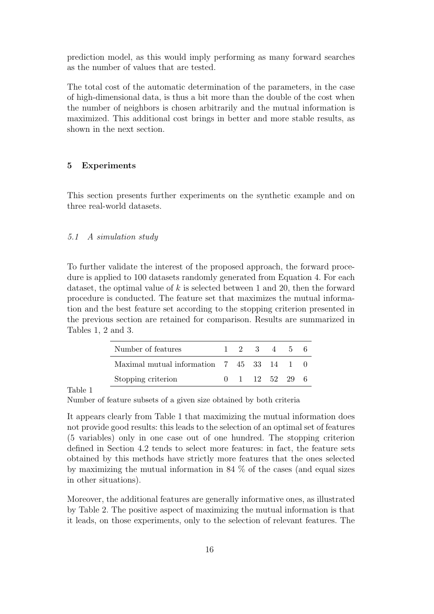prediction model, as this would imply performing as many forward searches as the number of values that are tested.

The total cost of the automatic determination of the parameters, in the case of high-dimensional data, is thus a bit more than the double of the cost when the number of neighbors is chosen arbitrarily and the mutual information is maximized. This additional cost brings in better and more stable results, as shown in the next section.

## 5 Experiments

This section presents further experiments on the synthetic example and on three real-world datasets.

## 5.1 A simulation study

To further validate the interest of the proposed approach, the forward procedure is applied to 100 datasets randomly generated from Equation 4. For each dataset, the optimal value of k is selected between 1 and 20, then the forward procedure is conducted. The feature set that maximizes the mutual information and the best feature set according to the stopping criterion presented in the previous section are retained for comparison. Results are summarized in Tables 1, 2 and 3.

| Number of features                                                                  |  | $1 \t2 \t3 \t4 \t5 \t6$                        |  |  |
|-------------------------------------------------------------------------------------|--|------------------------------------------------|--|--|
| Maximal mutual information $\begin{pmatrix} 7 & 45 & 33 & 14 & 1 & 0 \end{pmatrix}$ |  |                                                |  |  |
| Stopping criterion                                                                  |  | $0 \quad 1 \quad 12 \quad 52 \quad 29 \quad 6$ |  |  |

Table 1

Number of feature subsets of a given size obtained by both criteria

It appears clearly from Table 1 that maximizing the mutual information does not provide good results: this leads to the selection of an optimal set of features (5 variables) only in one case out of one hundred. The stopping criterion defined in Section 4.2 tends to select more features: in fact, the feature sets obtained by this methods have strictly more features that the ones selected by maximizing the mutual information in 84 % of the cases (and equal sizes in other situations).

Moreover, the additional features are generally informative ones, as illustrated by Table 2. The positive aspect of maximizing the mutual information is that it leads, on those experiments, only to the selection of relevant features. The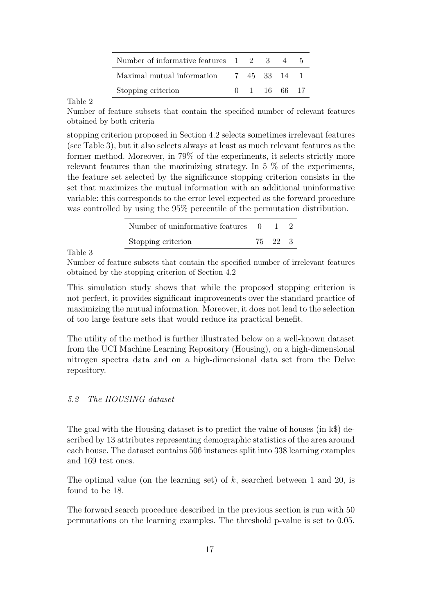| Number of informative features 1 2 3 4 5                             |  |                                        |  |
|----------------------------------------------------------------------|--|----------------------------------------|--|
| Maximal mutual information $\qquad 7\quad 45\quad 33\quad 14\quad 1$ |  |                                        |  |
| Stopping criterion                                                   |  | $0 \quad 1 \quad 16 \quad 66 \quad 17$ |  |

Table 2

Number of feature subsets that contain the specified number of relevant features obtained by both criteria

stopping criterion proposed in Section 4.2 selects sometimes irrelevant features (see Table 3), but it also selects always at least as much relevant features as the former method. Moreover, in 79% of the experiments, it selects strictly more relevant features than the maximizing strategy. In 5 % of the experiments, the feature set selected by the significance stopping criterion consists in the set that maximizes the mutual information with an additional uninformative variable: this corresponds to the error level expected as the forward procedure was controlled by using the 95% percentile of the permutation distribution.

| Number of uninformative features 0 |         |  |
|------------------------------------|---------|--|
| Stopping criterion                 | 75 22 3 |  |

Table 3

Number of feature subsets that contain the specified number of irrelevant features obtained by the stopping criterion of Section 4.2

This simulation study shows that while the proposed stopping criterion is not perfect, it provides significant improvements over the standard practice of maximizing the mutual information. Moreover, it does not lead to the selection of too large feature sets that would reduce its practical benefit.

The utility of the method is further illustrated below on a well-known dataset from the UCI Machine Learning Repository (Housing), on a high-dimensional nitrogen spectra data and on a high-dimensional data set from the Delve repository.

# 5.2 The HOUSING dataset

The goal with the Housing dataset is to predict the value of houses (in k\$) described by 13 attributes representing demographic statistics of the area around each house. The dataset contains 506 instances split into 338 learning examples and 169 test ones.

The optimal value (on the learning set) of  $k$ , searched between 1 and 20, is found to be 18.

The forward search procedure described in the previous section is run with 50 permutations on the learning examples. The threshold p-value is set to 0.05.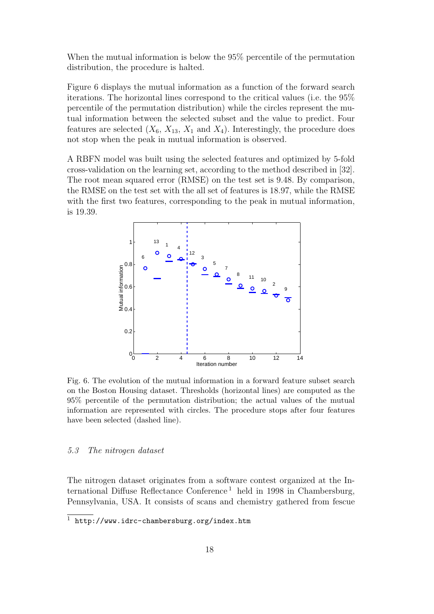When the mutual information is below the 95% percentile of the permutation distribution, the procedure is halted.

Figure 6 displays the mutual information as a function of the forward search iterations. The horizontal lines correspond to the critical values (i.e. the 95% percentile of the permutation distribution) while the circles represent the mutual information between the selected subset and the value to predict. Four features are selected  $(X_6, X_{13}, X_1 \text{ and } X_4)$ . Interestingly, the procedure does not stop when the peak in mutual information is observed.

A RBFN model was built using the selected features and optimized by 5-fold cross-validation on the learning set, according to the method described in [32]. The root mean squared error (RMSE) on the test set is 9.48. By comparison, the RMSE on the test set with the all set of features is 18.97, while the RMSE with the first two features, corresponding to the peak in mutual information, is 19.39.



Fig. 6. The evolution of the mutual information in a forward feature subset search on the Boston Housing dataset. Thresholds (horizontal lines) are computed as the 95% percentile of the permutation distribution; the actual values of the mutual information are represented with circles. The procedure stops after four features have been selected (dashed line).

# 5.3 The nitrogen dataset

The nitrogen dataset originates from a software contest organized at the International Diffuse Reflectance Conference<sup>1</sup> held in 1998 in Chambersburg, Pennsylvania, USA. It consists of scans and chemistry gathered from fescue

 $1$  http://www.idrc-chambersburg.org/index.htm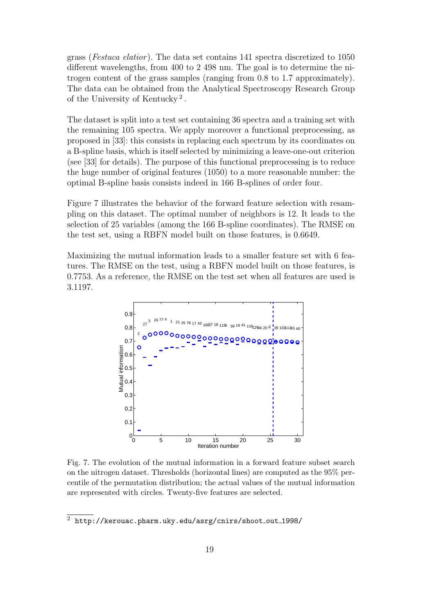grass (Festuca elatior ). The data set contains 141 spectra discretized to 1050 different wavelengths, from 400 to 2 498 nm. The goal is to determine the nitrogen content of the grass samples (ranging from 0.8 to 1.7 approximately). The data can be obtained from the Analytical Spectroscopy Research Group of the University of Kentucky<sup>2</sup>.

The dataset is split into a test set containing 36 spectra and a training set with the remaining 105 spectra. We apply moreover a functional preprocessing, as proposed in [33]: this consists in replacing each spectrum by its coordinates on a B-spline basis, which is itself selected by minimizing a leave-one-out criterion (see [33] for details). The purpose of this functional preprocessing is to reduce the huge number of original features (1050) to a more reasonable number: the optimal B-spline basis consists indeed in 166 B-splines of order four.

Figure 7 illustrates the behavior of the forward feature selection with resampling on this dataset. The optimal number of neighbors is 12. It leads to the selection of 25 variables (among the 166 B-spline coordinates). The RMSE on the test set, using a RBFN model built on those features, is 0.6649.

Maximizing the mutual information leads to a smaller feature set with 6 features. The RMSE on the test, using a RBFN model built on those features, is 0.7753. As a reference, the RMSE on the test set when all features are used is 3.1197.



Fig. 7. The evolution of the mutual information in a forward feature subset search on the nitrogen dataset. Thresholds (horizontal lines) are computed as the 95% percentile of the permutation distribution; the actual values of the mutual information are represented with circles. Twenty-five features are selected.

 $2$  http://kerouac.pharm.uky.edu/asrg/cnirs/shoot\_out\_1998/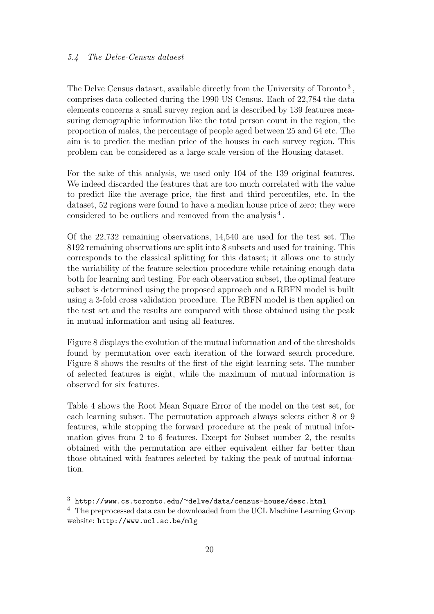#### 5.4 The Delve-Census dataest

The Delve Census dataset, available directly from the University of Toronto<sup>3</sup>, comprises data collected during the 1990 US Census. Each of 22,784 the data elements concerns a small survey region and is described by 139 features measuring demographic information like the total person count in the region, the proportion of males, the percentage of people aged between 25 and 64 etc. The aim is to predict the median price of the houses in each survey region. This problem can be considered as a large scale version of the Housing dataset.

For the sake of this analysis, we used only 104 of the 139 original features. We indeed discarded the features that are too much correlated with the value to predict like the average price, the first and third percentiles, etc. In the dataset, 52 regions were found to have a median house price of zero; they were considered to be outliers and removed from the analysis<sup>4</sup>.

Of the 22,732 remaining observations, 14,540 are used for the test set. The 8192 remaining observations are split into 8 subsets and used for training. This corresponds to the classical splitting for this dataset; it allows one to study the variability of the feature selection procedure while retaining enough data both for learning and testing. For each observation subset, the optimal feature subset is determined using the proposed approach and a RBFN model is built using a 3-fold cross validation procedure. The RBFN model is then applied on the test set and the results are compared with those obtained using the peak in mutual information and using all features.

Figure 8 displays the evolution of the mutual information and of the thresholds found by permutation over each iteration of the forward search procedure. Figure 8 shows the results of the first of the eight learning sets. The number of selected features is eight, while the maximum of mutual information is observed for six features.

Table 4 shows the Root Mean Square Error of the model on the test set, for each learning subset. The permutation approach always selects either 8 or 9 features, while stopping the forward procedure at the peak of mutual information gives from 2 to 6 features. Except for Subset number 2, the results obtained with the permutation are either equivalent either far better than those obtained with features selected by taking the peak of mutual information.

<sup>3</sup> http://www.cs.toronto.edu/∼delve/data/census-house/desc.html

 $4$  The preprocessed data can be downloaded from the UCL Machine Learning Group website: http://www.ucl.ac.be/mlg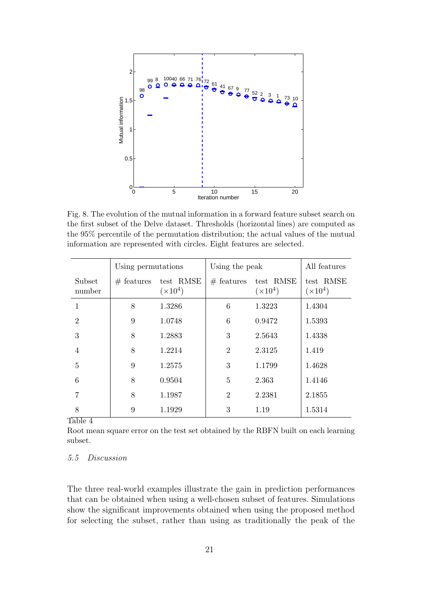

Fig. 8. The evolution of the mutual information in a forward feature subset search on the first subset of the Delve dataset. Thresholds (horizontal lines) are computed as the 95% percentile of the permutation distribution; the actual values of the mutual information are represented with circles. Eight features are selected.

|                  | Using permutations |                              | Using the peak | All features                 |                              |  |
|------------------|--------------------|------------------------------|----------------|------------------------------|------------------------------|--|
| Subset<br>number | $#$ features       | test RMSE<br>$(\times 10^4)$ | $#$ features   | test RMSE<br>$(\times 10^4)$ | test RMSE<br>$(\times 10^4)$ |  |
| 1                | 8                  | 1.3286                       | 6              | 1.3223                       | 1.4304                       |  |
| $\overline{2}$   | 9                  | 1.0748                       | 6              | 0.9472                       | 1.5393                       |  |
| 3                | 8                  | 1.2883                       | 3              | 2.5643                       | 1.4338                       |  |
| 4                | 8                  | 1.2214                       | $\overline{2}$ | 2.3125                       | 1.419                        |  |
| 5                | 9                  | 1.2575                       | 3              | 1.1799                       | 1.4628                       |  |
| 6                | 8                  | 0.9504                       | 5              | 2.363                        | 1.4146                       |  |
|                  | 8                  | 1.1987                       | $\overline{2}$ | 2.2381                       | 2.1855                       |  |
| 8                | 9                  | 1.1929                       | 3              | 1.19                         | 1.5314                       |  |

Table 4

Root mean square error on the test set obtained by the RBFN built on each learning subset.

# 5.5 Discussion

The three real-world examples illustrate the gain in prediction performances that can be obtained when using a well-chosen subset of features. Simulations show the significant improvements obtained when using the proposed method for selecting the subset, rather than using as traditionally the peak of the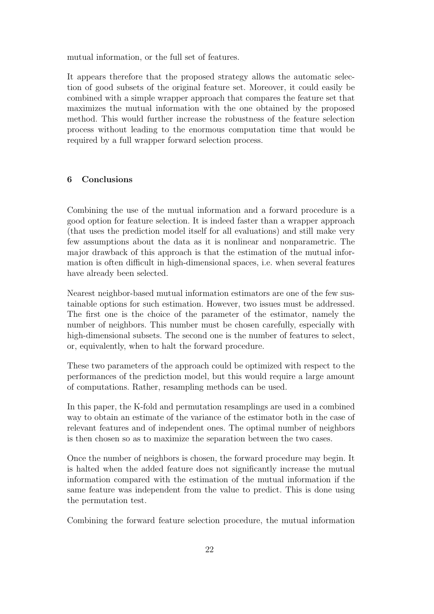mutual information, or the full set of features.

It appears therefore that the proposed strategy allows the automatic selection of good subsets of the original feature set. Moreover, it could easily be combined with a simple wrapper approach that compares the feature set that maximizes the mutual information with the one obtained by the proposed method. This would further increase the robustness of the feature selection process without leading to the enormous computation time that would be required by a full wrapper forward selection process.

# 6 Conclusions

Combining the use of the mutual information and a forward procedure is a good option for feature selection. It is indeed faster than a wrapper approach (that uses the prediction model itself for all evaluations) and still make very few assumptions about the data as it is nonlinear and nonparametric. The major drawback of this approach is that the estimation of the mutual information is often difficult in high-dimensional spaces, i.e. when several features have already been selected.

Nearest neighbor-based mutual information estimators are one of the few sustainable options for such estimation. However, two issues must be addressed. The first one is the choice of the parameter of the estimator, namely the number of neighbors. This number must be chosen carefully, especially with high-dimensional subsets. The second one is the number of features to select, or, equivalently, when to halt the forward procedure.

These two parameters of the approach could be optimized with respect to the performances of the prediction model, but this would require a large amount of computations. Rather, resampling methods can be used.

In this paper, the K-fold and permutation resamplings are used in a combined way to obtain an estimate of the variance of the estimator both in the case of relevant features and of independent ones. The optimal number of neighbors is then chosen so as to maximize the separation between the two cases.

Once the number of neighbors is chosen, the forward procedure may begin. It is halted when the added feature does not significantly increase the mutual information compared with the estimation of the mutual information if the same feature was independent from the value to predict. This is done using the permutation test.

Combining the forward feature selection procedure, the mutual information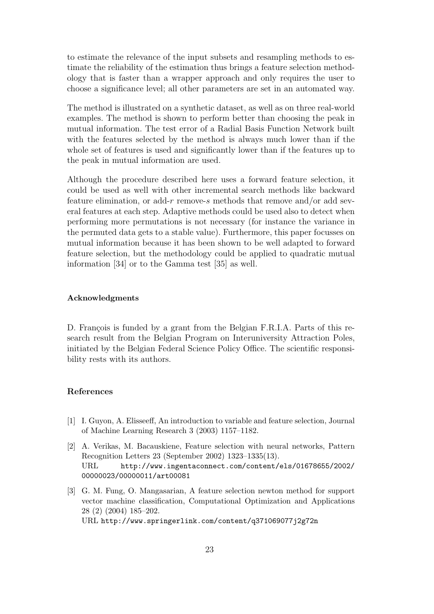to estimate the relevance of the input subsets and resampling methods to estimate the reliability of the estimation thus brings a feature selection methodology that is faster than a wrapper approach and only requires the user to choose a significance level; all other parameters are set in an automated way.

The method is illustrated on a synthetic dataset, as well as on three real-world examples. The method is shown to perform better than choosing the peak in mutual information. The test error of a Radial Basis Function Network built with the features selected by the method is always much lower than if the whole set of features is used and significantly lower than if the features up to the peak in mutual information are used.

Although the procedure described here uses a forward feature selection, it could be used as well with other incremental search methods like backward feature elimination, or add- $r$  remove-s methods that remove and/or add several features at each step. Adaptive methods could be used also to detect when performing more permutations is not necessary (for instance the variance in the permuted data gets to a stable value). Furthermore, this paper focusses on mutual information because it has been shown to be well adapted to forward feature selection, but the methodology could be applied to quadratic mutual information [34] or to the Gamma test [35] as well.

### Acknowledgments

D. François is funded by a grant from the Belgian F.R.I.A. Parts of this research result from the Belgian Program on Interuniversity Attraction Poles, initiated by the Belgian Federal Science Policy Office. The scientific responsibility rests with its authors.

#### References

- [1] I. Guyon, A. Elisseeff, An introduction to variable and feature selection, Journal of Machine Learning Research 3 (2003) 1157–1182.
- [2] A. Verikas, M. Bacauskiene, Feature selection with neural networks, Pattern Recognition Letters 23 (September 2002) 1323–1335(13). URL http://www.ingentaconnect.com/content/els/01678655/2002/ 00000023/00000011/art00081
- [3] G. M. Fung, O. Mangasarian, A feature selection newton method for support vector machine classification, Computational Optimization and Applications 28 (2) (2004) 185–202. URL http://www.springerlink.com/content/q371069077j2g72n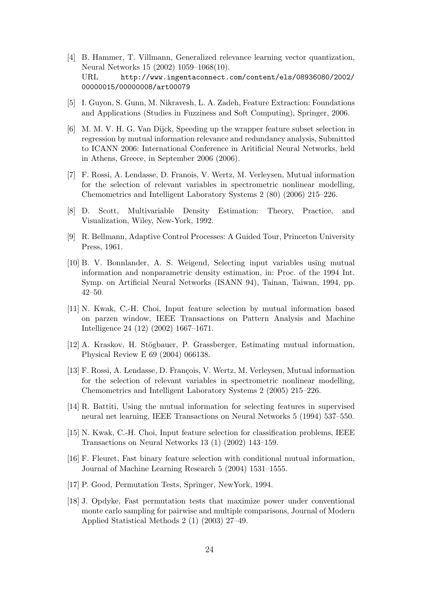- [4] B. Hammer, T. Villmann, Generalized relevance learning vector quantization, Neural Networks 15 (2002) 1059–1068(10). URL http://www.ingentaconnect.com/content/els/08936080/2002/ 00000015/00000008/art00079
- [5] I. Guyon, S. Gunn, M. Nikravesh, L. A. Zadeh, Feature Extraction: Foundations and Applications (Studies in Fuzziness and Soft Computing), Springer, 2006.
- [6] M. M. V. H. G. Van Dijck, Speeding up the wrapper feature subset selection in regression by mutual information relevance and redundancy analysis, Submitted to ICANN 2006: International Conference in Aritificial Neural Networks, held in Athens, Greece, in September 2006 (2006).
- [7] F. Rossi, A. Lendasse, D. Franois, V. Wertz, M. Verleysen, Mutual information for the selection of relevant variables in spectrometric nonlinear modelling, Chemometrics and Intelligent Laboratory Systems 2 (80) (2006) 215–226.
- [8] D. Scott, Multivariable Density Estimation: Theory, Practice, and Visualization, Wiley, New-York, 1992.
- [9] R. Bellmann, Adaptive Control Processes: A Guided Tour, Princeton University Press, 1961.
- [10] B. V. Bonnlander, A. S. Weigend, Selecting input variables using mutual information and nonparametric density estimation, in: Proc. of the 1994 Int. Symp. on Artificial Neural Networks (ISANN 94), Tainan, Taiwan, 1994, pp. 42–50.
- [11] N. Kwak, C.-H. Choi, Input feature selection by mutual information based on parzen window, IEEE Transactions on Pattern Analysis and Machine Intelligence 24 (12) (2002) 1667–1671.
- [12] A. Kraskov, H. Stögbauer, P. Grassberger, Estimating mutual information, Physical Review E 69 (2004) 066138.
- [13] F. Rossi, A. Lendasse, D. François, V. Wertz, M. Verleysen, Mutual information for the selection of relevant variables in spectrometric nonlinear modelling, Chemometrics and Intelligent Laboratory Systems 2 (2005) 215–226.
- [14] R. Battiti, Using the mutual information for selecting features in supervised neural net learning, IEEE Transactions on Neural Networks 5 (1994) 537–550.
- [15] N. Kwak, C.-H. Choi, Input feature selection for classification problems, IEEE Transactions on Neural Networks 13 (1) (2002) 143–159.
- [16] F. Fleuret, Fast binary feature selection with conditional mutual information, Journal of Machine Learning Research 5 (2004) 1531–1555.
- [17] P. Good, Permutation Tests, Springer, NewYork, 1994.
- [18] J. Opdyke, Fast permutation tests that maximize power under conventional monte carlo sampling for pairwise and multiple comparisons, Journal of Modern Applied Statistical Methods 2 (1) (2003) 27–49.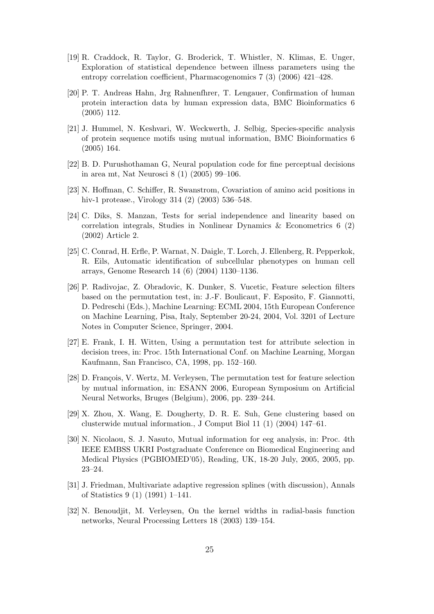- [19] R. Craddock, R. Taylor, G. Broderick, T. Whistler, N. Klimas, E. Unger, Exploration of statistical dependence between illness parameters using the entropy correlation coefficient, Pharmacogenomics 7 (3) (2006) 421–428.
- [20] P. T. Andreas Hahn, Jrg Rahnenfhrer, T. Lengauer, Confirmation of human protein interaction data by human expression data, BMC Bioinformatics 6 (2005) 112.
- [21] J. Hummel, N. Keshvari, W. Weckwerth, J. Selbig, Species-specific analysis of protein sequence motifs using mutual information, BMC Bioinformatics 6 (2005) 164.
- [22] B. D. Purushothaman G, Neural population code for fine perceptual decisions in area mt, Nat Neurosci 8 (1) (2005) 99–106.
- [23] N. Hoffman, C. Schiffer, R. Swanstrom, Covariation of amino acid positions in hiv-1 protease., Virology 314 (2) (2003) 536–548.
- [24] C. Diks, S. Manzan, Tests for serial independence and linearity based on correlation integrals, Studies in Nonlinear Dynamics  $\&$  Econometrics 6 (2) (2002) Article 2.
- [25] C. Conrad, H. Erfle, P. Warnat, N. Daigle, T. Lorch, J. Ellenberg, R. Pepperkok, R. Eils, Automatic identification of subcellular phenotypes on human cell arrays, Genome Research 14 (6) (2004) 1130–1136.
- [26] P. Radivojac, Z. Obradovic, K. Dunker, S. Vucetic, Feature selection filters based on the permutation test, in: J.-F. Boulicaut, F. Esposito, F. Giannotti, D. Pedreschi (Eds.), Machine Learning: ECML 2004, 15th European Conference on Machine Learning, Pisa, Italy, September 20-24, 2004, Vol. 3201 of Lecture Notes in Computer Science, Springer, 2004.
- [27] E. Frank, I. H. Witten, Using a permutation test for attribute selection in decision trees, in: Proc. 15th International Conf. on Machine Learning, Morgan Kaufmann, San Francisco, CA, 1998, pp. 152–160.
- [28] D. François, V. Wertz, M. Verleysen, The permutation test for feature selection by mutual information, in: ESANN 2006, European Symposium on Artificial Neural Networks, Bruges (Belgium), 2006, pp. 239–244.
- [29] X. Zhou, X. Wang, E. Dougherty, D. R. E. Suh, Gene clustering based on clusterwide mutual information., J Comput Biol 11 (1) (2004) 147–61.
- [30] N. Nicolaou, S. J. Nasuto, Mutual information for eeg analysis, in: Proc. 4th IEEE EMBSS UKRI Postgraduate Conference on Biomedical Engineering and Medical Physics (PGBIOMED'05), Reading, UK, 18-20 July, 2005, 2005, pp. 23–24.
- [31] J. Friedman, Multivariate adaptive regression splines (with discussion), Annals of Statistics 9 (1) (1991) 1–141.
- [32] N. Benoudjit, M. Verleysen, On the kernel widths in radial-basis function networks, Neural Processing Letters 18 (2003) 139–154.